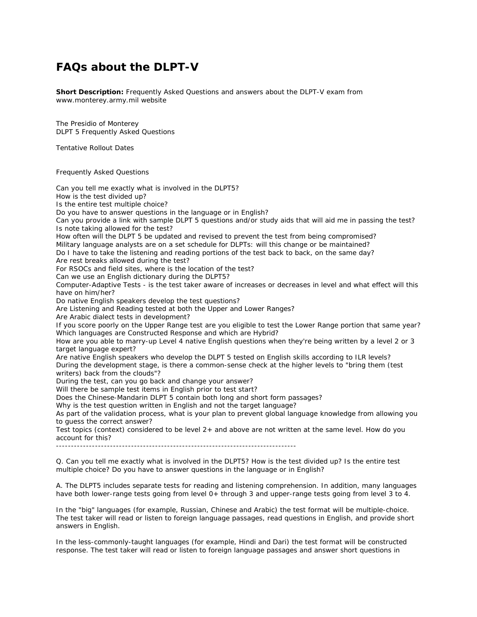## **FAQs about the DLPT-V**

**Short Description:** Frequently Asked Questions and answers about the DLPT-V exam from www.monterey.army.mil website

The Presidio of Monterey DLPT 5 Frequently Asked Questions

Tentative Rollout Dates

Frequently Asked Questions

Can you tell me exactly what is involved in the DLPT5? How is the test divided up? Is the entire test multiple choice? Do you have to answer questions in the language or in English? Can you provide a link with sample DLPT 5 questions and/or study aids that will aid me in passing the test? Is note taking allowed for the test? How often will the DLPT 5 be updated and revised to prevent the test from being compromised? Military language analysts are on a set schedule for DLPTs: will this change or be maintained? Do I have to take the listening and reading portions of the test back to back, on the same day? Are rest breaks allowed during the test? For RSOCs and field sites, where is the location of the test? Can we use an English dictionary during the DLPT5? Computer-Adaptive Tests - is the test taker aware of increases or decreases in level and what effect will this have on him/her? Do native English speakers develop the test questions? Are Listening and Reading tested at both the Upper and Lower Ranges? Are Arabic dialect tests in development? If you score poorly on the Upper Range test are you eligible to test the Lower Range portion that same year? Which languages are Constructed Response and which are Hybrid? How are you able to marry-up Level 4 native English questions when they're being written by a level 2 or 3 target language expert? Are native English speakers who develop the DLPT 5 tested on English skills according to ILR levels? During the development stage, is there a common-sense check at the higher levels to "bring them (test writers) back from the clouds"? During the test, can you go back and change your answer? Will there be sample test items in English prior to test start? Does the Chinese-Mandarin DLPT 5 contain both long and short form passages? Why is the test question written in English and not the target language? As part of the validation process, what is your plan to prevent global language knowledge from allowing you to guess the correct answer? Test topics (context) considered to be level 2+ and above are not written at the same level. How do you account for this? -------------------------------------------------------------------------------- Q. Can you tell me exactly what is involved in the DLPT5? How is the test divided up? Is the entire test multiple choice? Do you have to answer questions in the language or in English?

A. The DLPT5 includes separate tests for reading and listening comprehension. In addition, many languages have both lower-range tests going from level 0+ through 3 and upper-range tests going from level 3 to 4.

In the "big" languages (for example, Russian, Chinese and Arabic) the test format will be multiple-choice. The test taker will read or listen to foreign language passages, read questions in English, and provide short answers in English.

In the less-commonly-taught languages (for example, Hindi and Dari) the test format will be constructed response. The test taker will read or listen to foreign language passages and answer short questions in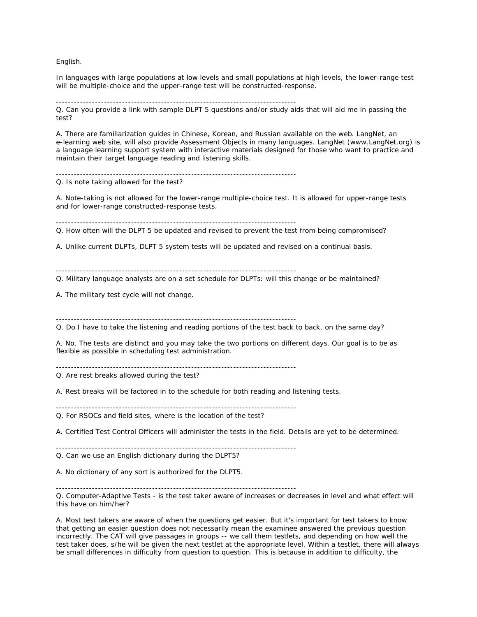English.

In languages with large populations at low levels and small populations at high levels, the lower-range test will be multiple-choice and the upper-range test will be constructed-response.

Q. Can you provide a link with sample DLPT 5 questions and/or study aids that will aid me in passing the test?

A. There are familiarization guides in Chinese, Korean, and Russian available on the web. LangNet, an e-learning web site, will also provide Assessment Objects in many languages. LangNet (www.LangNet.org) is a language learning support system with interactive materials designed for those who want to practice and maintain their target language reading and listening skills.

--------------------------------------------------------------------------------

--------------------------------------------------------------------------------

Q. Is note taking allowed for the test?

A. Note-taking is not allowed for the lower-range multiple-choice test. It is allowed for upper-range tests and for lower-range constructed-response tests.

--------------------------------------------------------------------------------

Q. How often will the DLPT 5 be updated and revised to prevent the test from being compromised?

A. Unlike current DLPTs, DLPT 5 system tests will be updated and revised on a continual basis.

--------------------------------------------------------------------------------

Q. Military language analysts are on a set schedule for DLPTs: will this change or be maintained?

A. The military test cycle will not change.

--------------------------------------------------------------------------------

Q. Do I have to take the listening and reading portions of the test back to back, on the same day?

A. No. The tests are distinct and you may take the two portions on different days. Our goal is to be as flexible as possible in scheduling test administration.

--------------------------------------------------------------------------------

Q. Are rest breaks allowed during the test?

A. Rest breaks will be factored in to the schedule for both reading and listening tests.

--------------------------------------------------------------------------------

Q. For RSOCs and field sites, where is the location of the test?

A. Certified Test Control Officers will administer the tests in the field. Details are yet to be determined.

--------------------------------------------------------------------------------

Q. Can we use an English dictionary during the DLPT5?

A. No dictionary of any sort is authorized for the DLPT5.

--------------------------------------------------------------------------------

Q. Computer-Adaptive Tests - is the test taker aware of increases or decreases in level and what effect will this have on him/her?

A. Most test takers are aware of when the questions get easier. But it's important for test takers to know that getting an easier question does not necessarily mean the examinee answered the previous question incorrectly. The CAT will give passages in groups -- we call them testlets, and depending on how well the test taker does, s/he will be given the next testlet at the appropriate level. Within a testlet, there will always be small differences in difficulty from question to question. This is because in addition to difficulty, the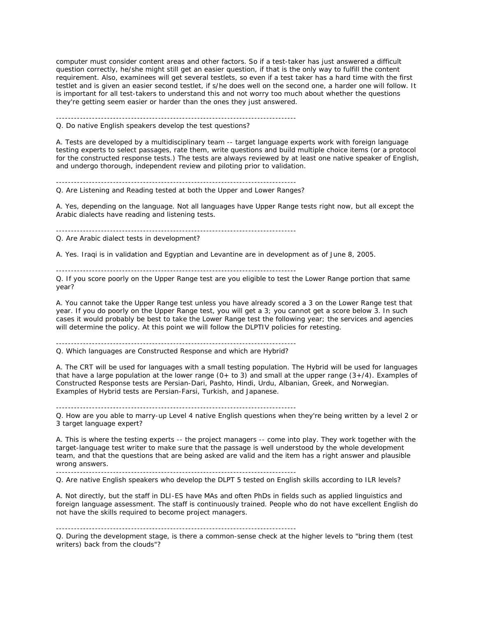computer must consider content areas and other factors. So if a test-taker has just answered a difficult question correctly, he/she might still get an easier question, if that is the only way to fulfill the content requirement. Also, examinees will get several testlets, so even if a test taker has a hard time with the first testlet and is given an easier second testlet, if s/he does well on the second one, a harder one will follow. It is important for all test-takers to understand this and not worry too much about whether the questions they're getting seem easier or harder than the ones they just answered.

--------------------------------------------------------------------------------

Q. Do native English speakers develop the test questions?

A. Tests are developed by a multidisciplinary team -- target language experts work with foreign language testing experts to select passages, rate them, write questions and build multiple choice items (or a protocol for the constructed response tests.) The tests are always reviewed by at least one native speaker of English, and undergo thorough, independent review and piloting prior to validation.

-------------------------------------------------------------------------------- Q. Are Listening and Reading tested at both the Upper and Lower Ranges?

A. Yes, depending on the language. Not all languages have Upper Range tests right now, but all except the Arabic dialects have reading and listening tests.

--------------------------------------------------------------------------------

Q. Are Arabic dialect tests in development?

A. Yes. Iraqi is in validation and Egyptian and Levantine are in development as of June 8, 2005.

--------------------------------------------------------------------------------

Q. If you score poorly on the Upper Range test are you eligible to test the Lower Range portion that same year?

A. You cannot take the Upper Range test unless you have already scored a 3 on the Lower Range test that year. If you do poorly on the Upper Range test, you will get a 3; you cannot get a score below 3. In such cases it would probably be best to take the Lower Range test the following year; the services and agencies will determine the policy. At this point we will follow the DLPTIV policies for retesting.

--------------------------------------------------------------------------------

Q. Which languages are Constructed Response and which are Hybrid?

A. The CRT will be used for languages with a small testing population. The Hybrid will be used for languages that have a large population at the lower range  $(0+$  to 3) and small at the upper range  $(3+/4)$ . Examples of Constructed Response tests are Persian-Dari, Pashto, Hindi, Urdu, Albanian, Greek, and Norwegian. Examples of Hybrid tests are Persian-Farsi, Turkish, and Japanese.

--------------------------------------------------------------------------------

Q. How are you able to marry-up Level 4 native English questions when they're being written by a level 2 or 3 target language expert?

A. This is where the testing experts -- the project managers -- come into play. They work together with the target-language test writer to make sure that the passage is well understood by the whole development team, and that the questions that are being asked are valid and the item has a right answer and plausible wrong answers.

--------------------------------------------------------------------------------

Q. Are native English speakers who develop the DLPT 5 tested on English skills according to ILR levels?

A. Not directly, but the staff in DLI-ES have MAs and often PhDs in fields such as applied linguistics and foreign language assessment. The staff is continuously trained. People who do not have excellent English do not have the skills required to become project managers.

--------------------------------------------------------------------------------

Q. During the development stage, is there a common-sense check at the higher levels to "bring them (test writers) back from the clouds"?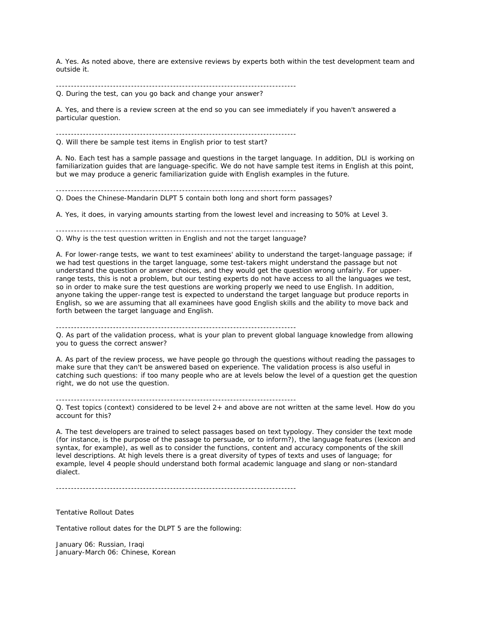A. Yes. As noted above, there are extensive reviews by experts both within the test development team and outside it.

--------------------------------------------------------------------------------

Q. During the test, can you go back and change your answer?

A. Yes, and there is a review screen at the end so you can see immediately if you haven't answered a particular question.

--------------------------------------------------------------------------------

Q. Will there be sample test items in English prior to test start?

A. No. Each test has a sample passage and questions in the target language. In addition, DLI is working on familiarization guides that are language-specific. We do not have sample test items in English at this point, but we may produce a generic familiarization guide with English examples in the future.

--------------------------------------------------------------------------------

Q. Does the Chinese-Mandarin DLPT 5 contain both long and short form passages?

A. Yes, it does, in varying amounts starting from the lowest level and increasing to 50% at Level 3.

-------------------------------------------------------------------------------- Q. Why is the test question written in English and not the target language?

A. For lower-range tests, we want to test examinees' ability to understand the target-language passage; if we had test questions in the target language, some test-takers might understand the passage but not understand the question or answer choices, and they would get the question wrong unfairly. For upperrange tests, this is not a problem, but our testing experts do not have access to all the languages we test, so in order to make sure the test questions are working properly we need to use English. In addition, anyone taking the upper-range test is expected to understand the target language but produce reports in English, so we are assuming that all examinees have good English skills and the ability to move back and forth between the target language and English.

--------------------------------------------------------------------------------

--------------------------------------------------------------------------------

Q. As part of the validation process, what is your plan to prevent global language knowledge from allowing you to guess the correct answer?

A. As part of the review process, we have people go through the questions without reading the passages to make sure that they can't be answered based on experience. The validation process is also useful in catching such questions: if too many people who are at levels below the level of a question get the question right, we do not use the question.

Q. Test topics (context) considered to be level 2+ and above are not written at the same level. How do you account for this?

A. The test developers are trained to select passages based on text typology. They consider the text mode (for instance, is the purpose of the passage to persuade, or to inform?), the language features (lexicon and syntax, for example), as well as to consider the functions, content and accuracy components of the skill level descriptions. At high levels there is a great diversity of types of texts and uses of language; for example, level 4 people should understand both formal academic language and slang or non-standard dialect.

--------------------------------------------------------------------------------

Tentative Rollout Dates

Tentative rollout dates for the DLPT 5 are the following:

January 06: Russian, Iraqi January-March 06: Chinese, Korean